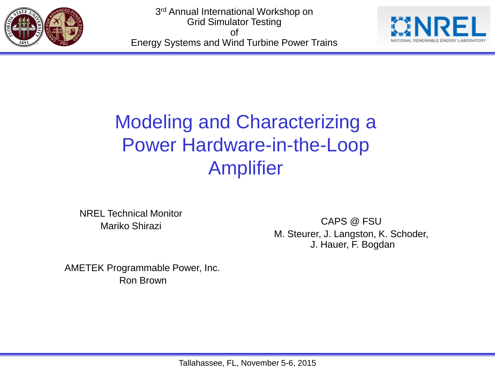



## Modeling and Characterizing a Power Hardware-in-the-Loop Amplifier

NREL Technical Monitor Mariko Shirazi

CAPS @ FSU M. Steurer, J. Langston, K. Schoder, J. Hauer, F. Bogdan

AMETEK Programmable Power, Inc. Ron Brown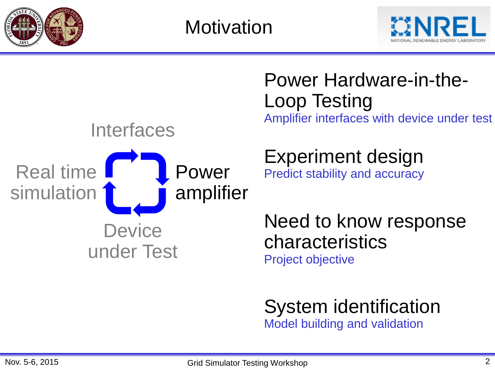

**Motivation** 





## Power Hardware-in-the-Loop Testing Amplifier interfaces with device under test

## Experiment design

Predict stability and accuracy

Need to know response characteristics Project objective

System identification Model building and validation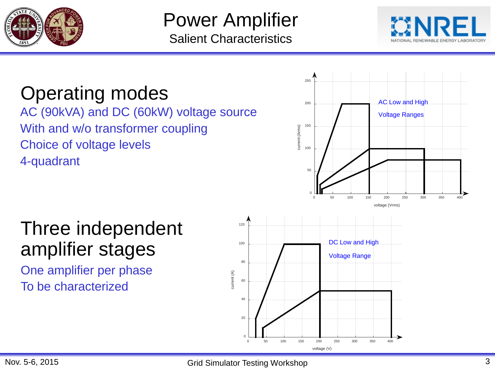

## Power Amplifier Salient Characteristics



## Operating modes

AC (90kVA) and DC (60kW) voltage source With and w/o transformer coupling Choice of voltage levels 4-quadrant



voltage (V)

## Three independent amplifier stages

One amplifier per phase To be characterized

 $\Omega$ 

20

40

60

80

100

120

current (A)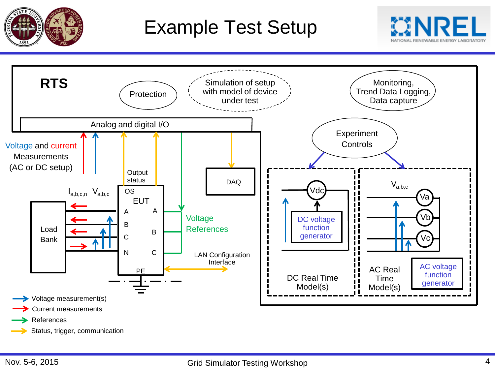

## Example Test Setup



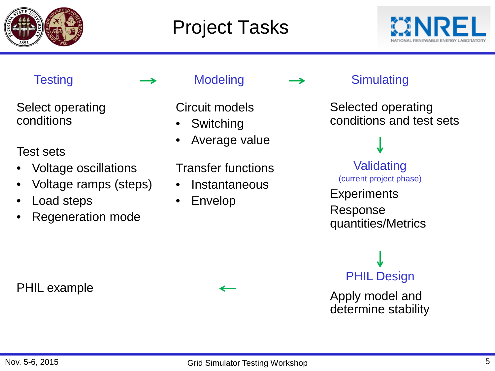

## Project Tasks



Select operating conditions

### Test sets

- Voltage oscillations
- Voltage ramps (steps)
- Load steps
- Regeneration mode

PHIL example



Circuit models

- **Switching**
- Average value

Transfer functions

- **Instantaneous**
- Envelop

Testing  $\longrightarrow$  Modeling  $\longrightarrow$  Simulating

Selected operating conditions and test sets

Validating (current project phase)

**Experiments** 

Response quantities/Metrics

# PHIL Design

Apply model and determine stability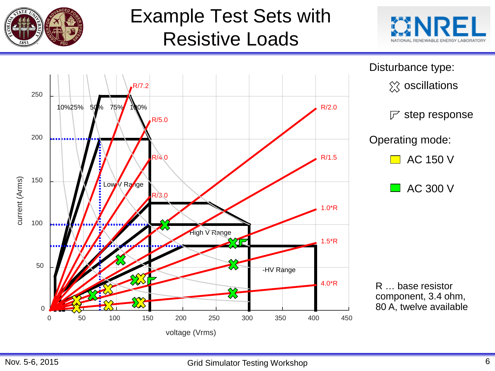

## Example Test Sets with Resistive Loads



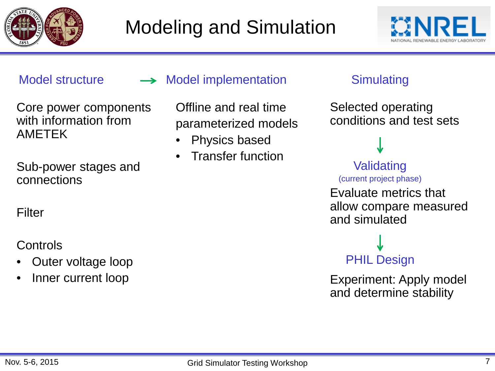



### Core power components with information from AMETEK

Sub-power stages and connections

**Filter** 

### **Controls**

- Outer voltage loop
- Inner current loop

### Model structure  $\longrightarrow$  Model implementation Simulating

Offline and real time parameterized models

- Physics based
- Transfer function

Selected operating conditions and test sets

### Validating (current project phase)

Evaluate metrics that allow compare measured and simulated

# PHIL Design

Experiment: Apply model and determine stability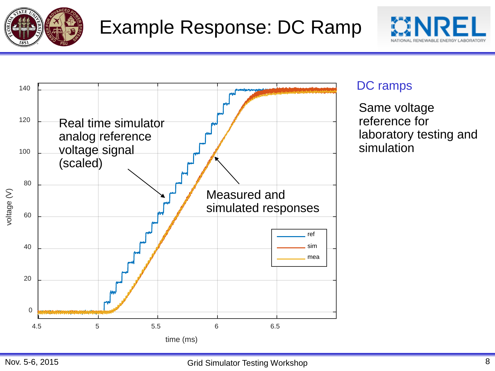





### DC ramps

Same voltage reference for laboratory testing and simulation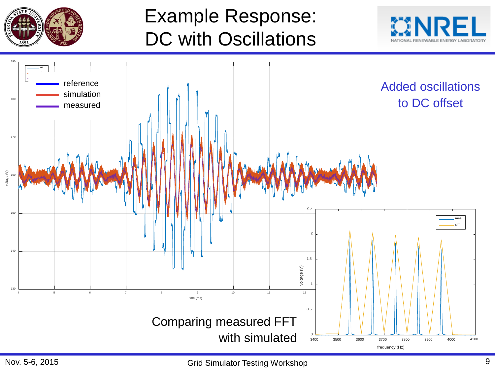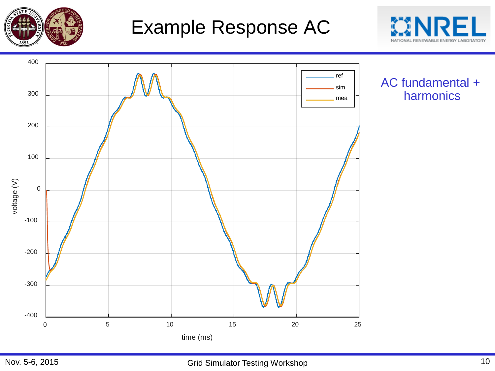

## Example Response AC



AC fundamental + harmonics

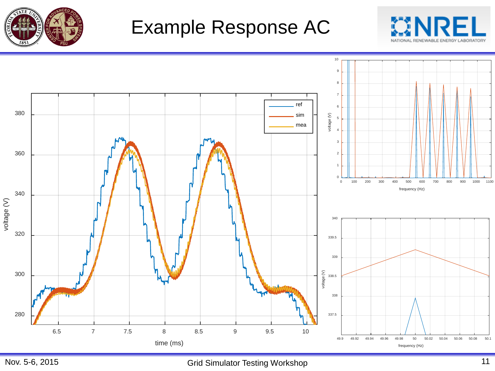

## Example Response AC



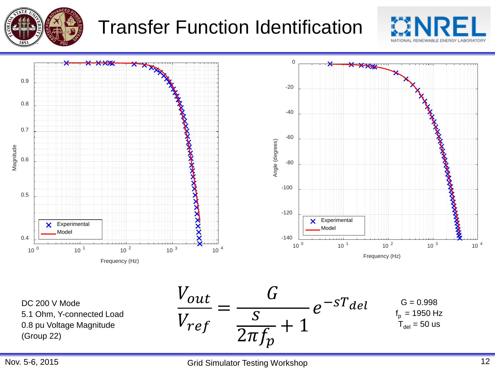

## Transfer Function Identification





DC 200 V Mode 5.1 Ohm, Y-connected Load 0.8 pu Voltage Magnitude (Group 22)